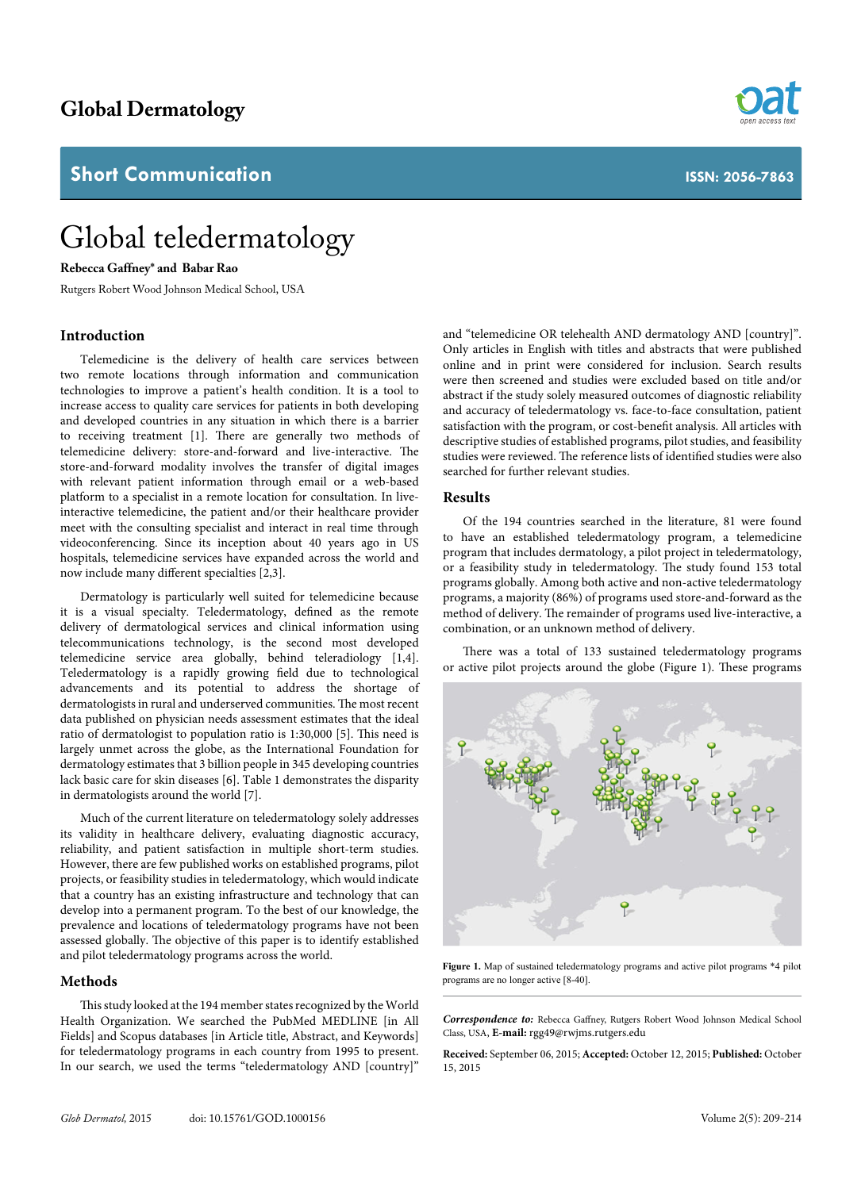# **Global Dermatology**

## **Short Communication**

# Global teledermatology

#### **Rebecca Gaffney\* and Babar Rao**

Rutgers Robert Wood Johnson Medical School, USA

### **Introduction**

Telemedicine is the delivery of health care services between two remote locations through information and communication technologies to improve a patient's health condition. It is a tool to increase access to quality care services for patients in both developing and developed countries in any situation in which there is a barrier to receiving treatment [1]. There are generally two methods of telemedicine delivery: store-and-forward and live-interactive. The store-and-forward modality involves the transfer of digital images with relevant patient information through email or a web-based platform to a specialist in a remote location for consultation. In liveinteractive telemedicine, the patient and/or their healthcare provider meet with the consulting specialist and interact in real time through videoconferencing. Since its inception about 40 years ago in US hospitals, telemedicine services have expanded across the world and now include many different specialties [2,3].

Dermatology is particularly well suited for telemedicine because it is a visual specialty. Teledermatology, defined as the remote delivery of dermatological services and clinical information using telecommunications technology, is the second most developed telemedicine service area globally, behind teleradiology [1,4]. Teledermatology is a rapidly growing field due to technological advancements and its potential to address the shortage of dermatologists in rural and underserved communities. The most recent data published on physician needs assessment estimates that the ideal ratio of dermatologist to population ratio is 1:30,000 [5]. This need is largely unmet across the globe, as the International Foundation for dermatology estimates that 3 billion people in 345 developing countries lack basic care for skin diseases [6]. Table 1 demonstrates the disparity in dermatologists around the world [7].

Much of the current literature on teledermatology solely addresses its validity in healthcare delivery, evaluating diagnostic accuracy, reliability, and patient satisfaction in multiple short-term studies. However, there are few published works on established programs, pilot projects, or feasibility studies in teledermatology, which would indicate that a country has an existing infrastructure and technology that can develop into a permanent program. To the best of our knowledge, the prevalence and locations of teledermatology programs have not been assessed globally. The objective of this paper is to identify established and pilot teledermatology programs across the world.

#### **Methods**

This study looked at the 194 member states recognized by the World Health Organization. We searched the PubMed MEDLINE [in All Fields] and Scopus databases [in Article title, Abstract, and Keywords] for teledermatology programs in each country from 1995 to present. In our search, we used the terms "teledermatology AND [country]"

and "telemedicine OR telehealth AND dermatology AND [country]". Only articles in English with titles and abstracts that were published online and in print were considered for inclusion. Search results were then screened and studies were excluded based on title and/or abstract if the study solely measured outcomes of diagnostic reliability and accuracy of teledermatology vs. face-to-face consultation, patient satisfaction with the program, or cost-benefit analysis. All articles with descriptive studies of established programs, pilot studies, and feasibility studies were reviewed. The reference lists of identified studies were also searched for further relevant studies.

#### **Results**

Of the 194 countries searched in the literature, 81 were found to have an established teledermatology program, a telemedicine program that includes dermatology, a pilot project in teledermatology, or a feasibility study in teledermatology. The study found 153 total programs globally. Among both active and non-active teledermatology programs, a majority (86%) of programs used store-and-forward as the method of delivery. The remainder of programs used live-interactive, a combination, or an unknown method of delivery.

There was a total of 133 sustained teledermatology programs or active pilot projects around the globe (Figure 1). These programs



**Figure 1.** Map of sustained teledermatology programs and active pilot programs \*4 pilot programs are no longer active [8-40].

*Correspondence to:* Rebecca Gaffney, Rutgers Robert Wood Johnson Medical School Class, USA, **E-mail:** rgg49@rwjms.rutgers.edu

**Received:** September 06, 2015; **Accepted:** October 12, 2015; **Published:** October 15, 2015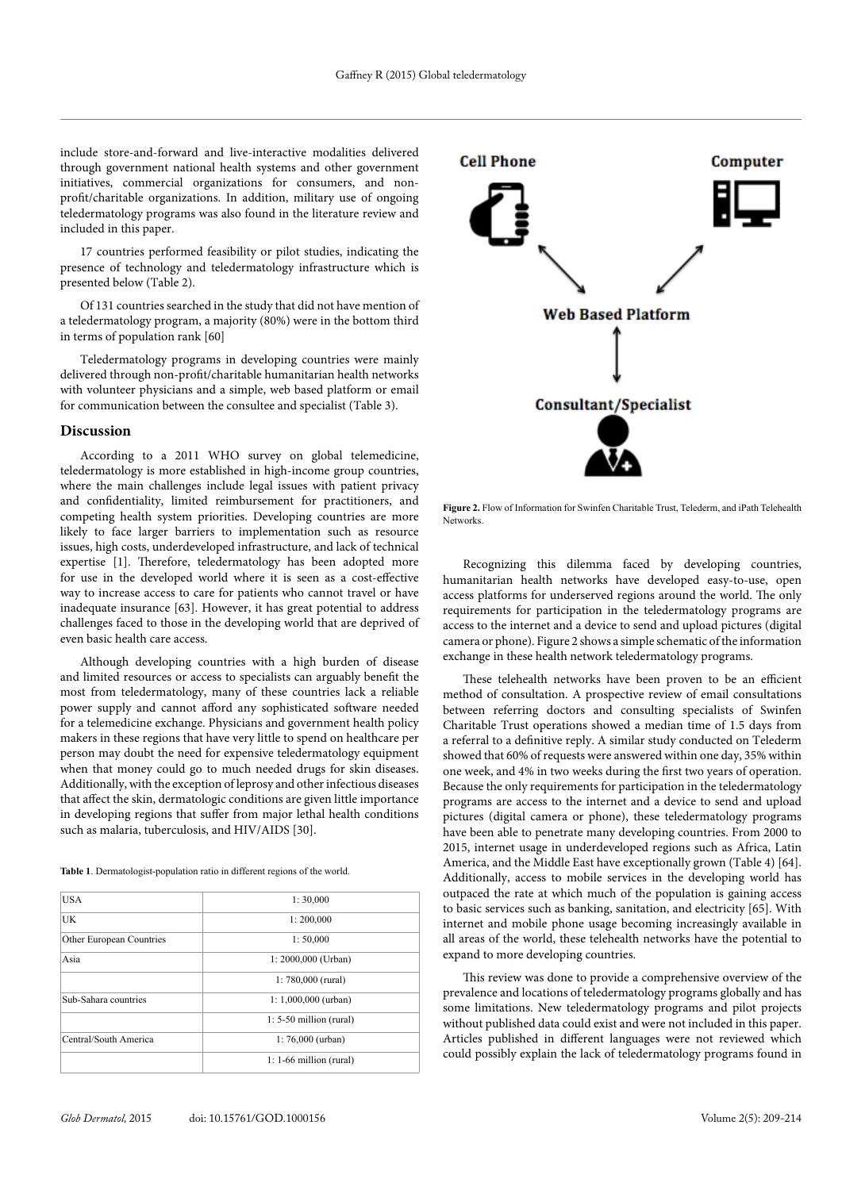include store-and-forward and live-interactive modalities delivered through government national health systems and other government initiatives, commercial organizations for consumers, and nonprofit/charitable organizations. In addition, military use of ongoing teledermatology programs was also found in the literature review and included in this paper.

17 countries performed feasibility or pilot studies, indicating the presence of technology and teledermatology infrastructure which is presented below (Table 2).

Of 131 countries searched in the study that did not have mention of a teledermatology program, a majority (80%) were in the bottom third in terms of population rank [60]

Teledermatology programs in developing countries were mainly delivered through non-profit/charitable humanitarian health networks with volunteer physicians and a simple, web based platform or email for communication between the consultee and specialist (Table 3).

#### **Discussion**

According to a 2011 WHO survey on global telemedicine, teledermatology is more established in high-income group countries, where the main challenges include legal issues with patient privacy and confidentiality, limited reimbursement for practitioners, and competing health system priorities. Developing countries are more likely to face larger barriers to implementation such as resource issues, high costs, underdeveloped infrastructure, and lack of technical expertise [1]. Therefore, teledermatology has been adopted more for use in the developed world where it is seen as a cost-effective way to increase access to care for patients who cannot travel or have inadequate insurance [63]. However, it has great potential to address challenges faced to those in the developing world that are deprived of even basic health care access.

Although developing countries with a high burden of disease and limited resources or access to specialists can arguably benefit the most from teledermatology, many of these countries lack a reliable power supply and cannot afford any sophisticated software needed for a telemedicine exchange. Physicians and government health policy makers in these regions that have very little to spend on healthcare per person may doubt the need for expensive teledermatology equipment when that money could go to much needed drugs for skin diseases. Additionally, with the exception of leprosy and other infectious diseases that affect the skin, dermatologic conditions are given little importance in developing regions that suffer from major lethal health conditions such as malaria, tuberculosis, and HIV/AIDS [30].

**Table 1**. Dermatologist-population ratio in different regions of the world.

| USA                      | 1:30,000                  |
|--------------------------|---------------------------|
| UK                       | 1:200,000                 |
| Other European Countries | 1:50,000                  |
| Asia                     | $1: 2000,000$ (Urban)     |
|                          | 1: $780,000$ (rural)      |
| Sub-Sahara countries     | 1: $1,000,000$ (urban)    |
|                          | $1: 5-50$ million (rural) |
| Central/South America    | $1:76,000$ (urban)        |
|                          | $1: 1-66$ million (rural) |



**Figure 2.** Flow of Information for Swinfen Charitable Trust, Telederm, and iPath Telehealth Networks.

Recognizing this dilemma faced by developing countries, humanitarian health networks have developed easy-to-use, open access platforms for underserved regions around the world. The only requirements for participation in the teledermatology programs are access to the internet and a device to send and upload pictures (digital camera or phone). Figure 2 shows a simple schematic of the information exchange in these health network teledermatology programs.

These telehealth networks have been proven to be an efficient method of consultation. A prospective review of email consultations between referring doctors and consulting specialists of Swinfen Charitable Trust operations showed a median time of 1.5 days from a referral to a definitive reply. A similar study conducted on Telederm showed that 60% of requests were answered within one day, 35% within one week, and 4% in two weeks during the first two years of operation. Because the only requirements for participation in the teledermatology programs are access to the internet and a device to send and upload pictures (digital camera or phone), these teledermatology programs have been able to penetrate many developing countries. From 2000 to 2015, internet usage in underdeveloped regions such as Africa, Latin America, and the Middle East have exceptionally grown (Table 4) [64]. Additionally, access to mobile services in the developing world has outpaced the rate at which much of the population is gaining access to basic services such as banking, sanitation, and electricity [65]. With internet and mobile phone usage becoming increasingly available in all areas of the world, these telehealth networks have the potential to expand to more developing countries.

This review was done to provide a comprehensive overview of the prevalence and locations of teledermatology programs globally and has some limitations. New teledermatology programs and pilot projects without published data could exist and were not included in this paper. Articles published in different languages were not reviewed which could possibly explain the lack of teledermatology programs found in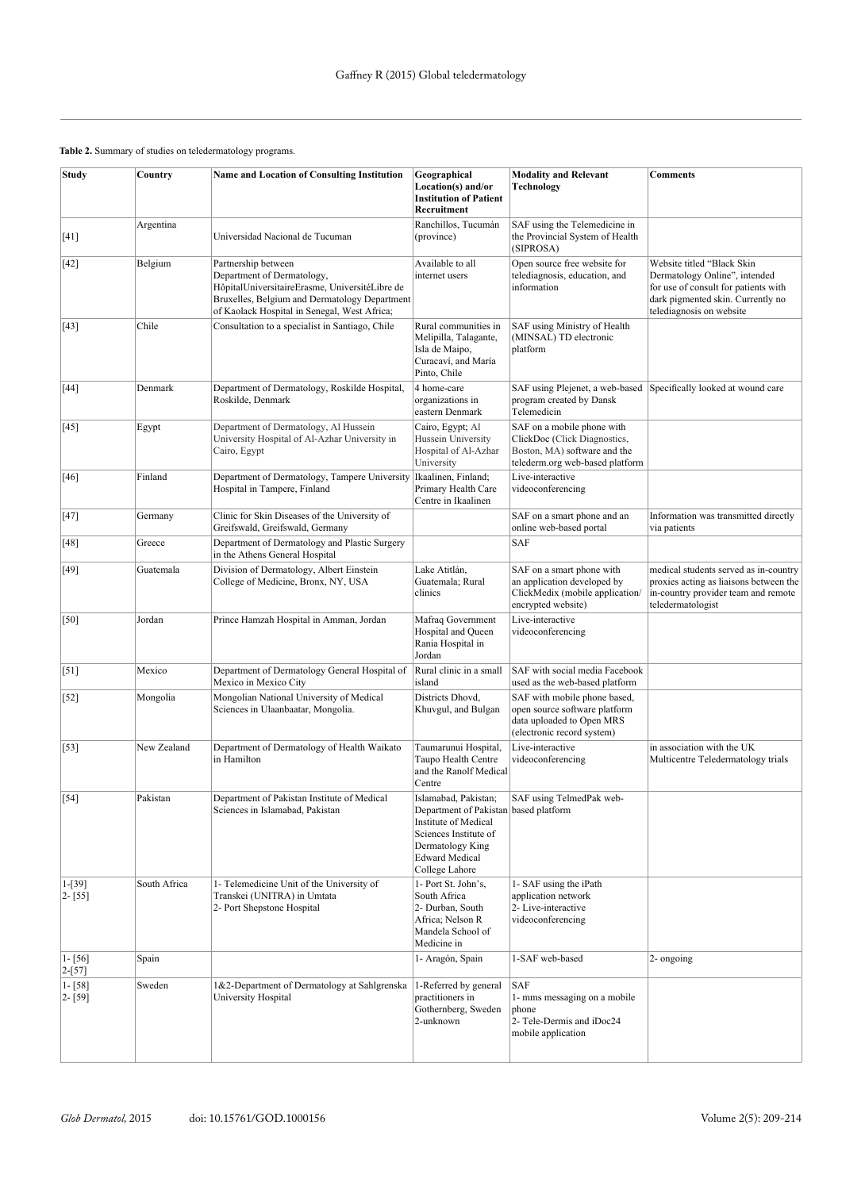#### **Table 2.** Summary of studies on teledermatology programs.

| Study                    | Country      | <b>Name and Location of Consulting Institution</b>                                                                                                                                                   | Geographical<br>Location(s) and/or<br><b>Institution of Patient</b><br>Recruitment                                                                                            | <b>Modality and Relevant</b><br><b>Technology</b>                                                                             | <b>Comments</b>                                                                                                                                                      |
|--------------------------|--------------|------------------------------------------------------------------------------------------------------------------------------------------------------------------------------------------------------|-------------------------------------------------------------------------------------------------------------------------------------------------------------------------------|-------------------------------------------------------------------------------------------------------------------------------|----------------------------------------------------------------------------------------------------------------------------------------------------------------------|
| $[41]$                   | Argentina    | Universidad Nacional de Tucuman                                                                                                                                                                      | Ranchillos, Tucumán<br>(province)                                                                                                                                             | SAF using the Telemedicine in<br>the Provincial System of Health<br>(SIPROSA)                                                 |                                                                                                                                                                      |
| $[42]$                   | Belgium      | Partnership between<br>Department of Dermatology,<br>HôpitalUniversitaireErasme, UniversitéLibre de<br>Bruxelles, Belgium and Dermatology Department<br>of Kaolack Hospital in Senegal, West Africa; | Available to all<br>internet users                                                                                                                                            | Open source free website for<br>telediagnosis, education, and<br>information                                                  | Website titled "Black Skin<br>Dermatology Online", intended<br>for use of consult for patients with<br>dark pigmented skin. Currently no<br>telediagnosis on website |
| $[43]$                   | Chile        | Consultation to a specialist in Santiago, Chile                                                                                                                                                      | Rural communities in<br>Melipilla, Talagante,<br>Isla de Maipo,<br>Curacaví, and María<br>Pinto, Chile                                                                        | SAF using Ministry of Health<br>(MINSAL) TD electronic<br>platform                                                            |                                                                                                                                                                      |
| $[44]$                   | Denmark      | Department of Dermatology, Roskilde Hospital,<br>Roskilde, Denmark                                                                                                                                   | 4 home-care<br>organizations in<br>eastern Denmark                                                                                                                            | program created by Dansk<br>Telemedicin                                                                                       | SAF using Plejenet, a web-based Specifically looked at wound care                                                                                                    |
| $[45]$                   | Egypt        | Department of Dermatology, Al Hussein<br>University Hospital of Al-Azhar University in<br>Cairo, Egypt                                                                                               | Cairo, Egypt; Al<br>Hussein University<br>Hospital of Al-Azhar<br>University                                                                                                  | SAF on a mobile phone with<br>ClickDoc (Click Diagnostics,<br>Boston, MA) software and the<br>telederm.org web-based platform |                                                                                                                                                                      |
| $[46]$                   | Finland      | Department of Dermatology, Tampere University<br>Hospital in Tampere, Finland                                                                                                                        | Ikaalinen, Finland;<br>Primary Health Care<br>Centre in Ikaalinen                                                                                                             | Live-interactive<br>videoconferencing                                                                                         |                                                                                                                                                                      |
| $[47]$                   | Germany      | Clinic for Skin Diseases of the University of<br>Greifswald, Greifswald, Germany                                                                                                                     |                                                                                                                                                                               | SAF on a smart phone and an<br>online web-based portal                                                                        | Information was transmitted directly<br>via patients                                                                                                                 |
| $[48]$                   | Greece       | Department of Dermatology and Plastic Surgery<br>in the Athens General Hospital                                                                                                                      |                                                                                                                                                                               | SAF                                                                                                                           |                                                                                                                                                                      |
| [49]                     | Guatemala    | Division of Dermatology, Albert Einstein<br>College of Medicine, Bronx, NY, USA                                                                                                                      | Lake Atitlán,<br>Guatemala; Rural<br>clinics                                                                                                                                  | SAF on a smart phone with<br>an application developed by<br>ClickMedix (mobile application/<br>encrypted website)             | medical students served as in-country<br>proxies acting as liaisons between the<br>in-country provider team and remote<br>teledermatologist                          |
| [50]                     | Jordan       | Prince Hamzah Hospital in Amman, Jordan                                                                                                                                                              | Mafraq Government<br>Hospital and Queen<br>Rania Hospital in<br>Jordan                                                                                                        | Live-interactive<br>videoconferencing                                                                                         |                                                                                                                                                                      |
| $[51]$                   | Mexico       | Department of Dermatology General Hospital of<br>Mexico in Mexico City                                                                                                                               | Rural clinic in a small<br>island                                                                                                                                             | SAF with social media Facebook<br>used as the web-based platform                                                              |                                                                                                                                                                      |
| $[52]$                   | Mongolia     | Mongolian National University of Medical<br>Sciences in Ulaanbaatar, Mongolia.                                                                                                                       | Districts Dhovd,<br>Khuvgul, and Bulgan                                                                                                                                       | SAF with mobile phone based,<br>open source software platform<br>data uploaded to Open MRS<br>(electronic record system)      |                                                                                                                                                                      |
| $[53]$                   | New Zealand  | Department of Dermatology of Health Waikato<br>in Hamilton                                                                                                                                           | Taumarunui Hospital,<br>Taupo Health Centre<br>and the Ranolf Medical<br>Centre                                                                                               | Live-interactive<br>videoconferencing                                                                                         | in association with the UK<br>Multicentre Teledermatology trials                                                                                                     |
| $\left[54\right]$        | Pakistan     | Department of Pakistan Institute of Medical<br>Sciences in Islamabad, Pakistan                                                                                                                       | Islamabad, Pakistan;<br>Department of Pakistan based platform<br>Institute of Medical<br>Sciences Institute of<br>Dermatology King<br><b>Edward Medical</b><br>College Lahore | SAF using TelmedPak web-                                                                                                      |                                                                                                                                                                      |
| $1-[39]$<br>$2 - [55]$   | South Africa | 1- Telemedicine Unit of the University of<br>Transkei (UNITRA) in Umtata<br>2- Port Shepstone Hospital                                                                                               | 1- Port St. John's,<br>South Africa<br>2- Durban, South<br>Africa: Nelson R<br>Mandela School of<br>Medicine in                                                               | 1- SAF using the iPath<br>application network<br>2- Live-interactive<br>videoconferencing                                     |                                                                                                                                                                      |
| $1 - [56]$<br>$2-[57]$   | Spain        |                                                                                                                                                                                                      | 1- Aragón, Spain                                                                                                                                                              | 1-SAF web-based                                                                                                               | 2- ongoing                                                                                                                                                           |
| $1 - [58]$<br>$2 - [59]$ | Sweden       | 1&2-Department of Dermatology at Sahlgrenska<br>University Hospital                                                                                                                                  | 1-Referred by general<br>practitioners in<br>Gothernberg, Sweden<br>2-unknown                                                                                                 | SAF<br>1- mms messaging on a mobile<br>phone<br>2- Tele-Dermis and iDoc24<br>mobile application                               |                                                                                                                                                                      |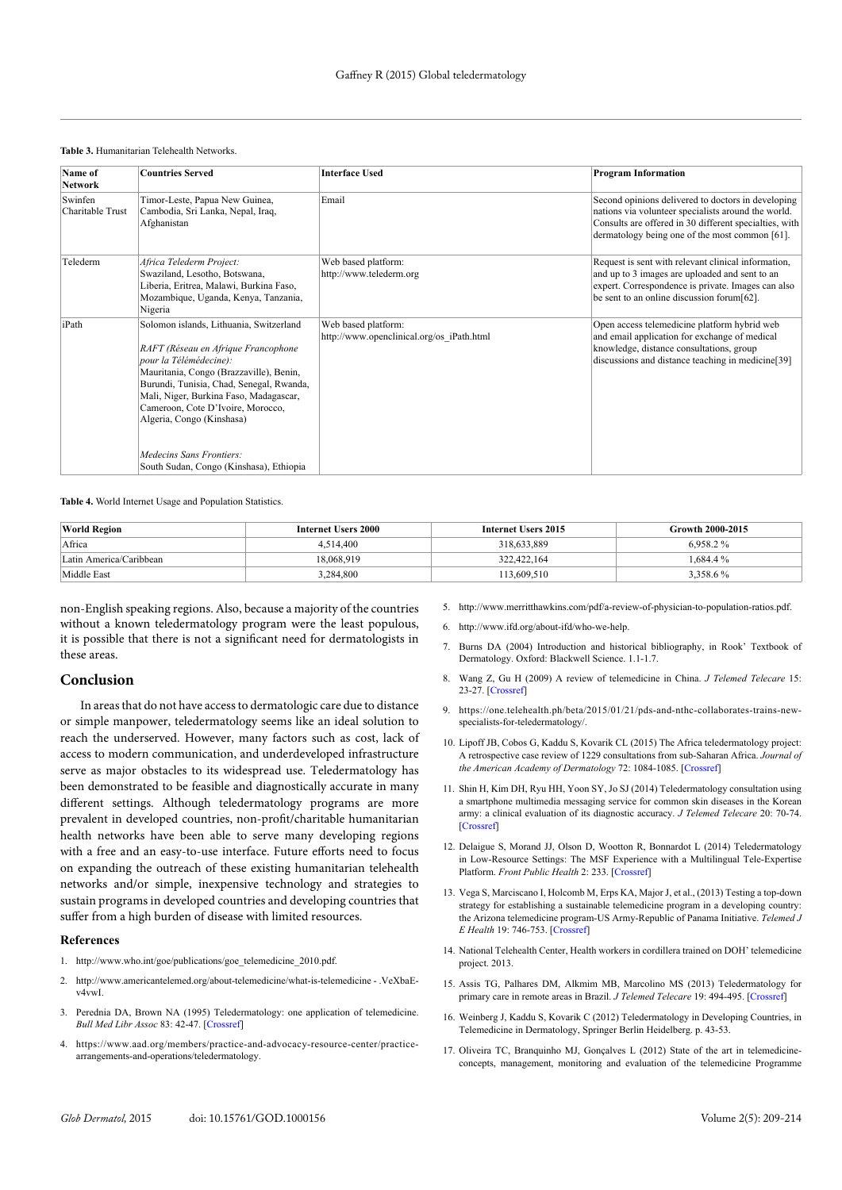|  |  | <b>Table 3. Humanitarian Telehealth Networks.</b> |  |  |
|--|--|---------------------------------------------------|--|--|
|--|--|---------------------------------------------------|--|--|

| Name of<br><b>Network</b>   | <b>Countries Served</b>                                                                                                                                                                                                                                                                                     | <b>Interface Used</b>                                            | <b>Program Information</b>                                                                                                                                                                                            |
|-----------------------------|-------------------------------------------------------------------------------------------------------------------------------------------------------------------------------------------------------------------------------------------------------------------------------------------------------------|------------------------------------------------------------------|-----------------------------------------------------------------------------------------------------------------------------------------------------------------------------------------------------------------------|
| Swinfen<br>Charitable Trust | Timor-Leste, Papua New Guinea,<br>Cambodia, Sri Lanka, Nepal, Iraq,<br>Afghanistan                                                                                                                                                                                                                          | Email                                                            | Second opinions delivered to doctors in developing<br>nations via volunteer specialists around the world.<br>Consults are offered in 30 different specialties, with<br>dermatology being one of the most common [61]. |
| Telederm                    | Africa Telederm Project:<br>Swaziland, Lesotho, Botswana,<br>Liberia, Eritrea, Malawi, Burkina Faso,<br>Mozambique, Uganda, Kenya, Tanzania,<br>Nigeria                                                                                                                                                     | Web based platform:<br>http://www.telederm.org                   | Request is sent with relevant clinical information,<br>and up to 3 images are uploaded and sent to an<br>expert. Correspondence is private. Images can also<br>be sent to an online discussion forum [62].            |
| iPath                       | Solomon islands, Lithuania, Switzerland<br>RAFT (Réseau en Afrique Francophone<br>pour la Télémédecine):<br>Mauritania, Congo (Brazzaville), Benin,<br>Burundi, Tunisia, Chad, Senegal, Rwanda,<br>Mali, Niger, Burkina Faso, Madagascar,<br>Cameroon, Cote D'Ivoire, Morocco,<br>Algeria, Congo (Kinshasa) | Web based platform:<br>http://www.openclinical.org/os iPath.html | Open access telemedicine platform hybrid web<br>and email application for exchange of medical<br>knowledge, distance consultations, group<br>discussions and distance teaching in medicine[39]                        |
|                             | Medecins Sans Frontiers:<br>South Sudan, Congo (Kinshasa), Ethiopia                                                                                                                                                                                                                                         |                                                                  |                                                                                                                                                                                                                       |

**Table 4.** World Internet Usage and Population Statistics.

| <b>World Region</b>     | Internet Users 2000 | Internet Users 2015 | Growth 2000-2015 |
|-------------------------|---------------------|---------------------|------------------|
| Africa                  | 4.514.400           | 318.633.889         | $6.958.2\%$      |
| Latin America/Caribbean | 18.068.919          | 322.422.164         | 1.684.4 %        |
| Middle East             | 3,284,800           | 113,609.510         | 3,358.6%         |

non-English speaking regions. Also, because a majority of the countries without a known teledermatology program were the least populous, it is possible that there is not a significant need for dermatologists in these areas.

#### **Conclusion**

In areas that do not have access to dermatologic care due to distance or simple manpower, teledermatology seems like an ideal solution to reach the underserved. However, many factors such as cost, lack of access to modern communication, and underdeveloped infrastructure serve as major obstacles to its widespread use. Teledermatology has been demonstrated to be feasible and diagnostically accurate in many different settings. Although teledermatology programs are more prevalent in developed countries, non-profit/charitable humanitarian health networks have been able to serve many developing regions with a free and an easy-to-use interface. Future efforts need to focus on expanding the outreach of these existing humanitarian telehealth networks and/or simple, inexpensive technology and strategies to sustain programs in developed countries and developing countries that suffer from a high burden of disease with limited resources.

#### **References**

- 1. http://www.who.int/goe/publications/goe\_telemedicine\_2010.pdf.
- 2. http://www.americantelemed.org/about-telemedicine/what-is-telemedicine .VeXbaEv4vwI.
- 3. Perednia DA, Brown NA (1995) Teledermatology: one application of telemedicine. *Bull Med Libr Assoc* 83: 42-47. [\[Crossref\]](http://www.ncbi.nlm.nih.gov/pmc/articles/PMC225996/)
- 4. https://www.aad.org/members/practice-and-advocacy-resource-center/practicearrangements-and-operations/teledermatology.
- 5. http://www.merritthawkins.com/pdf/a-review-of-physician-to-population-ratios.pdf.
- 6. http://www.ifd.org/about-ifd/who-we-help.
- 7. Burns DA (2004) Introduction and historical bibliography, in Rook' Textbook of Dermatology. Oxford: Blackwell Science. 1.1-1.7.
- 8. Wang Z, Gu H (2009) A review of telemedicine in China. *J Telemed Telecare* 15: 23-27. [\[Crossref\]](http://www.ncbi.nlm.nih.gov/pubmed/19139216)
- 9. https://one.telehealth.ph/beta/2015/01/21/pds-and-nthc-collaborates-trains-newspecialists-for-teledermatology/.
- 10. Lipoff JB, Cobos G, Kaddu S, Kovarik CL (2015) The Africa teledermatology project: A retrospective case review of 1229 consultations from sub-Saharan Africa. *Journal of the American Academy of Dermatology* 72: 1084-1085. [\[Crossref\]](http://www.ncbi.nlm.nih.gov/pubmed/25981007)
- 11. Shin H, Kim DH, Ryu HH, Yoon SY, Jo SJ (2014) Teledermatology consultation using a smartphone multimedia messaging service for common skin diseases in the Korean army: a clinical evaluation of its diagnostic accuracy. *J Telemed Telecare* 20: 70-74. [Crossref]
- 12. Delaigue S, Morand JJ, Olson D, Wootton R, Bonnardot L (2014) Teledermatology in Low-Resource Settings: The MSF Experience with a Multilingual Tele-Expertise Platform. *Front Public Health* 2: 233. [\[Crossref\]](http://www.ncbi.nlm.nih.gov/pubmed/25453029)
- 13. Vega S, Marciscano I, Holcomb M, Erps KA, Major J, et al., (2013) Testing a top-down strategy for establishing a sustainable telemedicine program in a developing country: the Arizona telemedicine program-US Army-Republic of Panama Initiative. *Telemed J E Health* 19: 746-753. [\[Crossref\]](http://www.ncbi.nlm.nih.gov/pubmed/23931731)
- 14. National Telehealth Center, Health workers in cordillera trained on DOH' telemedicine project. 2013.
- 15. Assis TG, Palhares DM, Alkmim MB, Marcolino MS (2013) Teledermatology for primary care in remote areas in Brazil. *J Telemed Telecare* 19: 494-495. [\[Crossref\]](http://www.ncbi.nlm.nih.gov/pubmed/24197397)
- 16. Weinberg J, Kaddu S, Kovarik C (2012) Teledermatology in Developing Countries, in Telemedicine in Dermatology, Springer Berlin Heidelberg. p. 43-53.
- 17. Oliveira TC, Branquinho MJ, Gonçalves L (2012) State of the art in telemedicineconcepts, management, monitoring and evaluation of the telemedicine Programme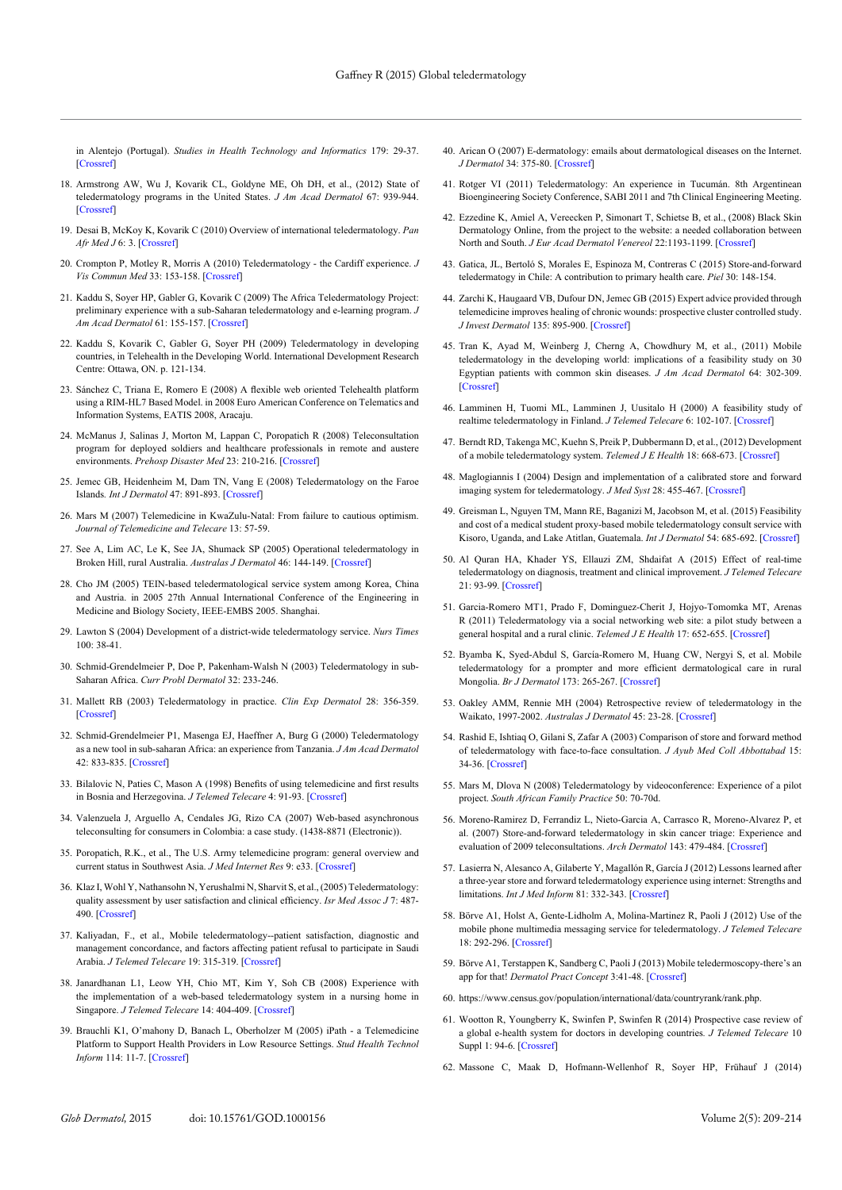in Alentejo (Portugal). *Studies in Health Technology and Informatics* 179: 29-37. [\[Crossref\]](http://www.ncbi.nlm.nih.gov/pubmed/22925783)

- 18. Armstrong AW, Wu J, Kovarik CL, Goldyne ME, Oh DH, et al., (2012) State of teledermatology programs in the United States. *J Am Acad Dermatol* 67: 939-944. [\[Crossref\]](http://www.ncbi.nlm.nih.gov/pubmed/22459360)
- 19. Desai B, McKoy K, Kovarik C (2010) Overview of international teledermatology. *Pan Afr Med J* 6: 3. [\[Crossref\]](http://www.ncbi.nlm.nih.gov/pmc/articles/PMC3063501/)
- 20. Crompton P, Motley R, Morris A (2010) Teledermatology the Cardiff experience. *J Vis Commun Med* 33: 153-158. [Crossref]
- 21. Kaddu S, Soyer HP, Gabler G, Kovarik C (2009) The Africa Teledermatology Project: preliminary experience with a sub-Saharan teledermatology and e-learning program. *J Am Acad Dermatol* 61: 155-157. [\[Crossref\]](http://www.ncbi.nlm.nih.gov/pubmed/19539859)
- 22. Kaddu S, Kovarik C, Gabler G, Soyer PH (2009) Teledermatology in developing countries, in Telehealth in the Developing World. International Development Research Centre: Ottawa, ON. p. 121-134.
- 23. Sánchez C, Triana E, Romero E (2008) A flexible web oriented Telehealth platform using a RIM-HL7 Based Model. in 2008 Euro American Conference on Telematics and Information Systems, EATIS 2008, Aracaju.
- 24. McManus J, Salinas J, Morton M, Lappan C, Poropatich R (2008) Teleconsultation program for deployed soldiers and healthcare professionals in remote and austere environments. *Prehosp Disaster Med* 23: 210-216. [\[Crossref\]](http://www.ncbi.nlm.nih.gov/pubmed/18702266)
- 25. Jemec GB, Heidenheim M, Dam TN, Vang E (2008) Teledermatology on the Faroe Islands*. Int J Dermatol* 47: 891-893. [\[Crossref\]](http://www.ncbi.nlm.nih.gov/pubmed/18937650)
- 26. Mars M (2007) Telemedicine in KwaZulu-Natal: From failure to cautious optimism. *Journal of Telemedicine and Telecare* 13: 57-59.
- 27. See A, Lim AC, Le K, See JA, Shumack SP (2005) Operational teledermatology in Broken Hill, rural Australia. *Australas J Dermatol* 46: 144-149. [\[Crossref\]](http://www.ncbi.nlm.nih.gov/pubmed/16008643)
- 28. Cho JM (2005) TEIN-based teledermatological service system among Korea, China and Austria. in 2005 27th Annual International Conference of the Engineering in Medicine and Biology Society, IEEE-EMBS 2005. Shanghai.
- 29. Lawton S (2004) Development of a district-wide teledermatology service. *Nurs Times* 100: 38-41.
- 30. Schmid-Grendelmeier P, Doe P, Pakenham-Walsh N (2003) Teledermatology in sub-Saharan Africa. *Curr Probl Dermatol* 32: 233-246.
- 31. Mallett RB (2003) Teledermatology in practice. *Clin Exp Dermatol* 28: 356-359. [\[Crossref\]](http://www.ncbi.nlm.nih.gov/pubmed/12823290)
- 32. Schmid-Grendelmeier P1, Masenga EJ, Haeffner A, Burg G (2000) Teledermatology as a new tool in sub-saharan Africa: an experience from Tanzania. *J Am Acad Dermatol* 42: 833-835. [\[Crossref\]](http://www.ncbi.nlm.nih.gov/pubmed/10775865)
- 33. Bilalovic N, Paties C, Mason A (1998) Benefits of using telemedicine and first results in Bosnia and Herzegovina. *J Telemed Telecare* 4: 91-9[3. \[Crossref\]](http://www.ncbi.nlm.nih.gov/pubmed/9640751)
- 34. Valenzuela J, Arguello A, Cendales JG, Rizo CA (2007) Web-based asynchronous teleconsulting for consumers in Colombia: a case study. (1438-8871 (Electronic)).
- 35. Poropatich, R.K., et al., The U.S. Army telemedicine program: general overview and current status in Southwest Asia. *J Med Internet Res* 9: e33. [\[Crossref\]](http://www.ncbi.nlm.nih.gov/pubmed/17954469)
- 36. Klaz I, Wohl Y, Nathansohn N, Yerushalmi N, Sharvit S, et al., (2005) Teledermatology: quality assessment by user satisfaction and clinical efficiency. *Isr Med Assoc J* 7: 487- 490. [\[Crossref\]](http://www.ncbi.nlm.nih.gov/pubmed/16106771)
- 37. Kaliyadan, F., et al., Mobile teledermatology--patient satisfaction, diagnostic and management concordance, and factors affecting patient refusal to participate in Saudi Arabia. *J Telemed Telecare* 19: 315-319. [\[Crossref\]](http://www.ncbi.nlm.nih.gov/pubmed/24163295)
- 38. Janardhanan L1, Leow YH, Chio MT, Kim Y, Soh CB (2008) Experience with the implementation of a web-based teledermatology system in a nursing home in Singapore. *J Telemed Telecare* 14: 404-409. [\[Crossref\]](http://www.ncbi.nlm.nih.gov/pubmed/19047449)
- 39. Brauchli K1, O'mahony D, Banach L, Oberholzer M (2005) iPath a Telemedicine Platform to Support Health Providers in Low Resource Settings. *Stud Health Technol Inform* 114: 11-7. [\[Crossref\]](http://www.ncbi.nlm.nih.gov/pubmed/15923755)
- 40. Arican O (2007) E-dermatology: emails about dermatological diseases on the Internet. *J Dermatol* 34: 375-80. [\[Crossref\]](http://www.ncbi.nlm.nih.gov/pubmed/17535402)
- 41. Rotger VI (2011) Teledermatology: An experience in Tucumán. 8th Argentinean Bioengineering Society Conference, SABI 2011 and 7th Clinical Engineering Meeting.
- 42. Ezzedine K, Amiel A, Vereecken P, Simonart T, Schietse B, et al., (2008) Black Skin Dermatology Online, from the project to the website: a needed collaboration between North and South. *J Eur Acad Dermatol Venereol* 22:1193-1199. [\[Crossref\]](http://www.ncbi.nlm.nih.gov/pubmed/18489566)
- 43. Gatica, JL, Bertoló S, Morales E, Espinoza M, Contreras C (2015) Store-and-forward teledermatogy in Chile: A contribution to primary health care. *Piel* 30: 148-154.
- 44. Zarchi K, Haugaard VB, Dufour DN, Jemec GB (2015) Expert advice provided through telemedicine improves healing of chronic wounds: prospective cluster controlled study. *J Invest Dermatol* 135: 895-900. [\[Crossref\]](http://www.ncbi.nlm.nih.gov/pubmed/25290685)
- 45. Tran K, Ayad M, Weinberg J, Cherng A, Chowdhury M, et al., (2011) Mobile teledermatology in the developing world: implications of a feasibility study on 30 Egyptian patients with common skin diseases. *J Am Acad Dermatol* 64: 302-309. [\[Crossref\]](http://www.ncbi.nlm.nih.gov/pubmed/21094560)
- 46. Lamminen H, Tuomi ML, Lamminen J, Uusitalo H (2000) A feasibility study of realtime teledermatology in Finland. *J Telemed Telecare* 6: 102-107. [\[Crossref\]](http://www.ncbi.nlm.nih.gov/pubmed/10824378)
- 47. Berndt RD, Takenga MC, Kuehn S, Preik P, Dubbermann D, et al., (2012) Development of a mobile teledermatology system. *Telemed J E Health* 18: 668-673. [\[Crossref\]](http://www.ncbi.nlm.nih.gov/pubmed/23050801)
- 48. Maglogiannis I (2004) Design and implementation of a calibrated store and forward imaging system for teledermatology. *J Med Syst* 28: 455-467. [\[Crossref\]](http://www.ncbi.nlm.nih.gov/pubmed/15527033)
- 49. Greisman L, Nguyen TM, Mann RE, Baganizi M, Jacobson M, et al. (2015) Feasibility and cost of a medical student proxy-based mobile teledermatology consult service with Kisoro, Uganda, and Lake Atitlan, Guatemala. *Int J Dermatol* 54: 685-692. [\[Crossref\]](file:///D:/Works/My%20Works/Navneeth/Journals/GOD/GOD-Vol-2/GOD-Vol-2.5/GOD_2.5-AI/References.docx)
- 50. Al Quran HA, Khader YS, Ellauzi ZM, Shdaifat A (2015) Effect of real-time teledermatology on diagnosis, treatment and clinical improvement. *J Telemed Telecare* 21: 93-99. [\[Crossref\]](http://www.ncbi.nlm.nih.gov/pubmed/25589469)
- 51. Garcia-Romero MT1, Prado F, Dominguez-Cherit J, Hojyo-Tomomka MT, Arenas R (2011) Teledermatology via a social networking web site: a pilot study between a general hospital and a rural clinic. *Telemed J E Health* 17: 652-655. [\[Crossref\]](http://www.ncbi.nlm.nih.gov/pubmed/21790270)
- 52. Byamba K, Syed-Abdul S, García-Romero M, Huang CW, Nergyi S, et al. Mobile teledermatology for a prompter and more efficient dermatological care in rural Mongolia. *Br J Dermatol* 173: 265-267. [\[Crossref\]](http://www.ncbi.nlm.nih.gov/pubmed/25494968)
- 53. Oakley AMM, Rennie MH (2004) Retrospective review of teledermatology in the Waikato, 1997-2002. *Australas J Dermatol* 45: 23-28. [\[Crossref\]](http://www.ncbi.nlm.nih.gov/pubmed/14961904)
- 54. Rashid E, Ishtiaq O, Gilani S, Zafar A (2003) Comparison of store and forward method of teledermatology with face-to-face consultation. *J Ayub Med Coll Abbottabad* 15: 34-36. [\[Crossref\]](http://www.ncbi.nlm.nih.gov/pubmed/14552246)
- 55. Mars M, Dlova N (2008) Teledermatology by videoconference: Experience of a pilot project. *South African Family Practice* 50: 70-70d.
- 56. Moreno-Ramirez D, Ferrandiz L, Nieto-Garcia A, Carrasco R, Moreno-Alvarez P, et al. (2007) Store-and-forward teledermatology in skin cancer triage: Experience and evaluation of 2009 teleconsultations. *Arch Dermatol* 143: 479-484. [\[Crossref\]](http://www.ncbi.nlm.nih.gov/pubmed/17438180)
- 57. Lasierra N, Alesanco A, Gilaberte Y, Magallón R, García J (2012) Lessons learned after a three-year store and forward teledermatology experience using internet: Strengths and limitations. *Int J Med Inform* 81: 332-343. [\[Crossref\]](http://www.ncbi.nlm.nih.gov/pubmed/22425394)
- 58. Börve A1, Holst A, Gente-Lidholm A, Molina-Martinez R, Paoli J (2012) Use of the mobile phone multimedia messaging service for teledermatology. *J Telemed Telecare* 18: 292-296. [\[Crossref\]](http://www.ncbi.nlm.nih.gov/pubmed/22802521)
- 59. Börve A1, Terstappen K, Sandberg C, Paoli J (2013) Mobile teledermoscopy-there's an app for that! *Dermatol Pract Concept* 3:41-48. [\[Crossref\]](http://www.ncbi.nlm.nih.gov/pubmed/23785643)
- 60. https://www.census.gov/population/international/data/countryrank/rank.php.
- 61. Wootton R, Youngberry K, Swinfen P, Swinfen R (2014) Prospective case review of a global e-health system for doctors in developing countries*. J Telemed Telecare* 10 Suppl 1: 94-6. [\[Crossref\]](http://www.ncbi.nlm.nih.gov/pubmed/15603625)
- 62. Massone C, Maak D, Hofmann-Wellenhof R, Soyer HP, Frühauf J (2014)